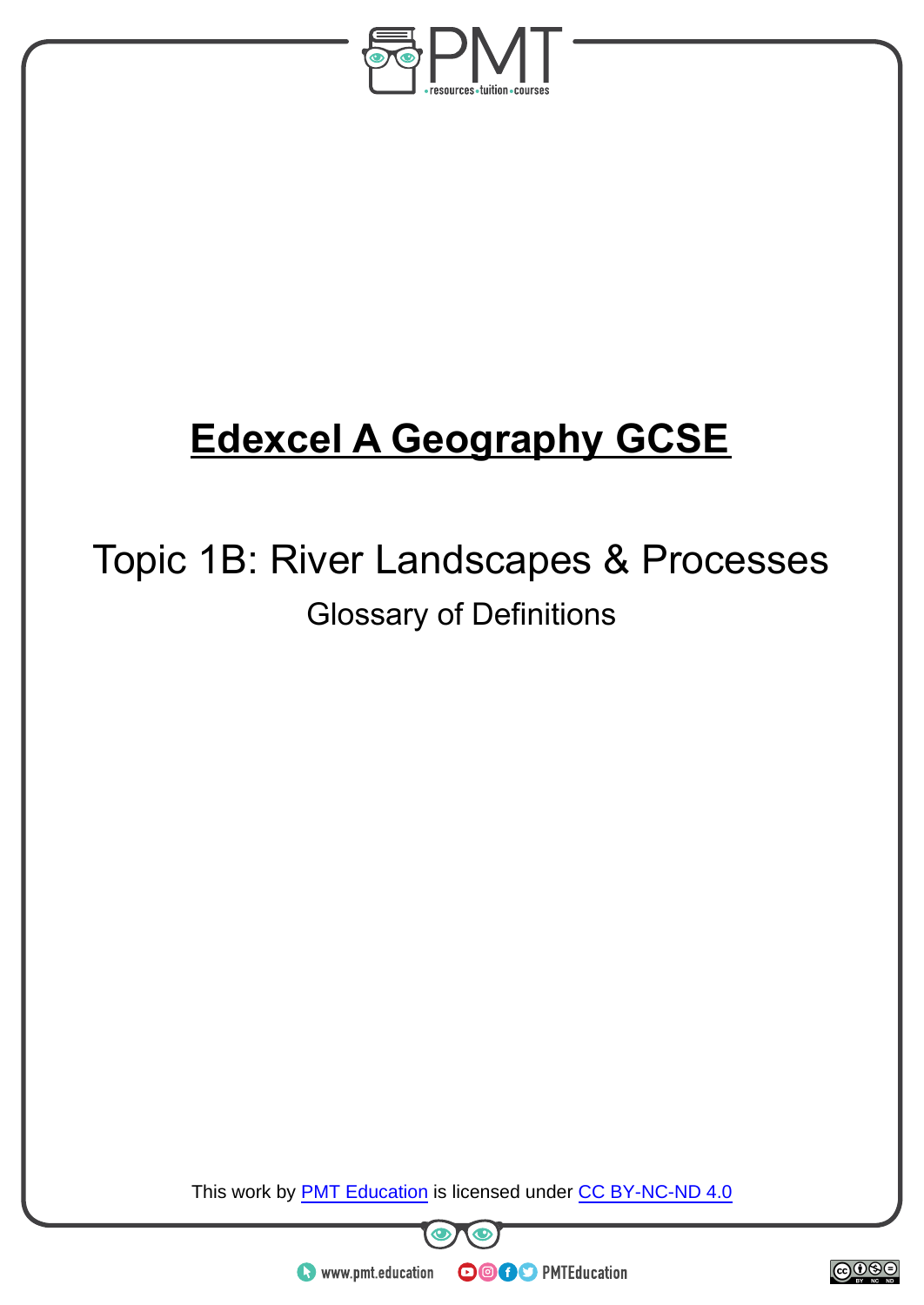

## **Edexcel A Geography GCSE**

## Topic 1B: River Landscapes & Processes Glossary of Definitions

This work by **PMT Education** is licensed under CC BY-NC-ND 4.0





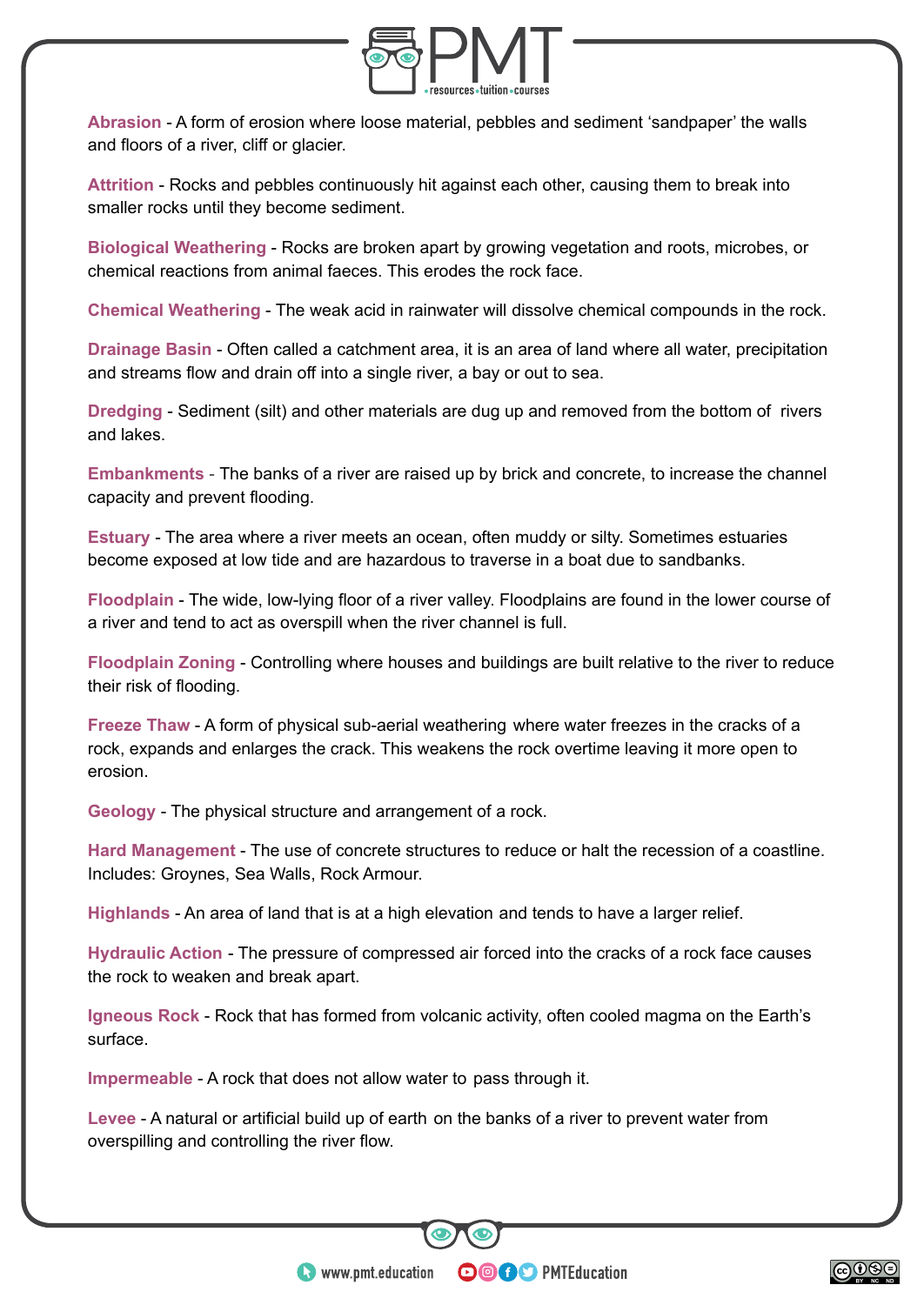

**Abrasion** - A form of erosion where loose material, pebbles and sediment 'sandpaper' the walls and floors of a river, cliff or glacier.

**Attrition** - Rocks and pebbles continuously hit against each other, causing them to break into smaller rocks until they become sediment.

**Biological Weathering** - Rocks are broken apart by growing vegetation and roots, microbes, or chemical reactions from animal faeces. This erodes the rock face.

**Chemical Weathering** - The weak acid in rainwater will dissolve chemical compounds in the rock.

**Drainage Basin** - Often called a catchment area, it is an area of land where all water, precipitation and streams flow and drain off into a single river, a bay or out to sea.

**Dredging** - Sediment (silt) and other materials are dug up and removed from the bottom of rivers and lakes.

**Embankments** - The banks of a river are raised up by brick and concrete, to increase the channel capacity and prevent flooding.

**Estuary** - The area where a river meets an ocean, often muddy or silty. Sometimes estuaries become exposed at low tide and are hazardous to traverse in a boat due to sandbanks.

**Floodplain** - The wide, low-lying floor of a river valley. Floodplains are found in the lower course of a river and tend to act as overspill when the river channel is full.

**Floodplain Zoning** - Controlling where houses and buildings are built relative to the river to reduce their risk of flooding.

**Freeze Thaw** - A form of physical sub-aerial weathering where water freezes in the cracks of a rock, expands and enlarges the crack. This weakens the rock overtime leaving it more open to erosion.

**Geology** - The physical structure and arrangement of a rock.

**Hard Management** - The use of concrete structures to reduce or halt the recession of a coastline. Includes: Groynes, Sea Walls, Rock Armour.

**Highlands** - An area of land that is at a high elevation and tends to have a larger relief.

**Hydraulic Action** - The pressure of compressed air forced into the cracks of a rock face causes the rock to weaken and break apart.

**Igneous Rock** - Rock that has formed from volcanic activity, often cooled magma on the Earth's surface.

**OOOO** PMTEducation

**Impermeable** - A rock that does not allow water to pass through it.

**Levee** - A natural or artificial build up of earth on the banks of a river to prevent water from overspilling and controlling the river flow.